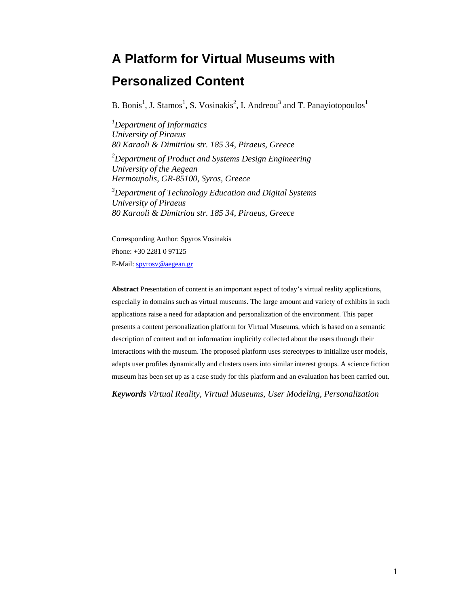# **A Platform for Virtual Museums with Personalized Content**

B. Bonis<sup>1</sup>, J. Stamos<sup>1</sup>, S. Vosinakis<sup>2</sup>, I. Andreou<sup>3</sup> and T. Panayiotopoulos<sup>1</sup>

*1 Department of Informatics University of Piraeus 80 Karaoli & Dimitriou str. 185 34, Piraeus, Greece* 

*2 Department of Product and Systems Design Engineering University of the Aegean Hermoupolis, GR-85100, Syros, Greece* 

*3 Department of Technology Education and Digital Systems University of Piraeus 80 Karaoli & Dimitriou str. 185 34, Piraeus, Greece* 

Corresponding Author: Spyros Vosinakis Phone: +30 2281 0 97125 E-Mail: spyrosv@aegean.gr

**Abstract** Presentation of content is an important aspect of today's virtual reality applications, especially in domains such as virtual museums. The large amount and variety of exhibits in such applications raise a need for adaptation and personalization of the environment. This paper presents a content personalization platform for Virtual Museums, which is based on a semantic description of content and on information implicitly collected about the users through their interactions with the museum. The proposed platform uses stereotypes to initialize user models, adapts user profiles dynamically and clusters users into similar interest groups. A science fiction museum has been set up as a case study for this platform and an evaluation has been carried out.

*Keywords Virtual Reality, Virtual Museums, User Modeling, Personalization*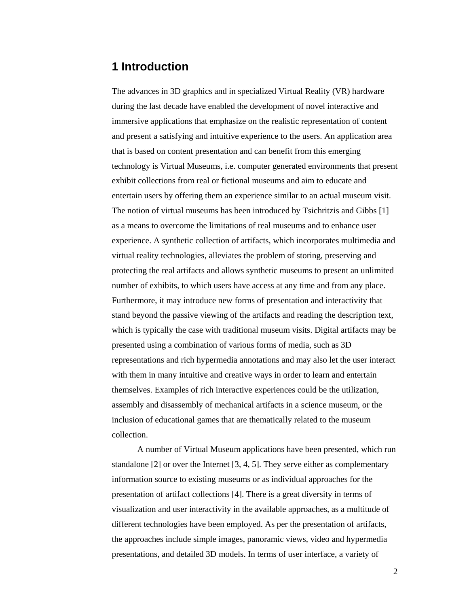# **1 Introduction**

The advances in 3D graphics and in specialized Virtual Reality (VR) hardware during the last decade have enabled the development of novel interactive and immersive applications that emphasize on the realistic representation of content and present a satisfying and intuitive experience to the users. An application area that is based on content presentation and can benefit from this emerging technology is Virtual Museums, i.e. computer generated environments that present exhibit collections from real or fictional museums and aim to educate and entertain users by offering them an experience similar to an actual museum visit. The notion of virtual museums has been introduced by Tsichritzis and Gibbs [1] as a means to overcome the limitations of real museums and to enhance user experience. A synthetic collection of artifacts, which incorporates multimedia and virtual reality technologies, alleviates the problem of storing, preserving and protecting the real artifacts and allows synthetic museums to present an unlimited number of exhibits, to which users have access at any time and from any place. Furthermore, it may introduce new forms of presentation and interactivity that stand beyond the passive viewing of the artifacts and reading the description text, which is typically the case with traditional museum visits. Digital artifacts may be presented using a combination of various forms of media, such as 3D representations and rich hypermedia annotations and may also let the user interact with them in many intuitive and creative ways in order to learn and entertain themselves. Examples of rich interactive experiences could be the utilization, assembly and disassembly of mechanical artifacts in a science museum, or the inclusion of educational games that are thematically related to the museum collection.

 A number of Virtual Museum applications have been presented, which run standalone [2] or over the Internet [3, 4, 5]. They serve either as complementary information source to existing museums or as individual approaches for the presentation of artifact collections [4]. There is a great diversity in terms of visualization and user interactivity in the available approaches, as a multitude of different technologies have been employed. As per the presentation of artifacts, the approaches include simple images, panoramic views, video and hypermedia presentations, and detailed 3D models. In terms of user interface, a variety of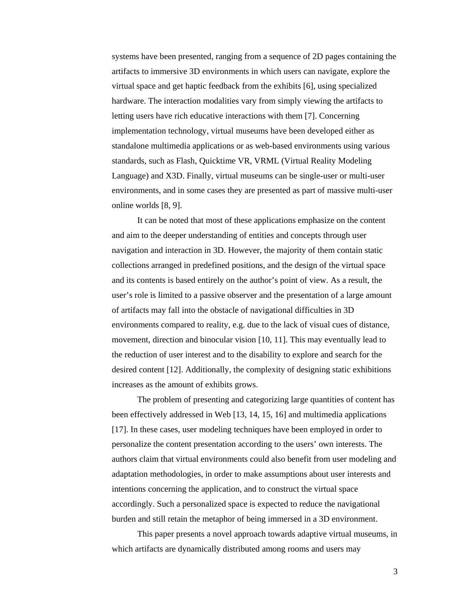systems have been presented, ranging from a sequence of 2D pages containing the artifacts to immersive 3D environments in which users can navigate, explore the virtual space and get haptic feedback from the exhibits [6], using specialized hardware. The interaction modalities vary from simply viewing the artifacts to letting users have rich educative interactions with them [7]. Concerning implementation technology, virtual museums have been developed either as standalone multimedia applications or as web-based environments using various standards, such as Flash, Quicktime VR, VRML (Virtual Reality Modeling Language) and X3D. Finally, virtual museums can be single-user or multi-user environments, and in some cases they are presented as part of massive multi-user online worlds [8, 9].

 It can be noted that most of these applications emphasize on the content and aim to the deeper understanding of entities and concepts through user navigation and interaction in 3D. However, the majority of them contain static collections arranged in predefined positions, and the design of the virtual space and its contents is based entirely on the author's point of view. As a result, the user's role is limited to a passive observer and the presentation of a large amount of artifacts may fall into the obstacle of navigational difficulties in 3D environments compared to reality, e.g. due to the lack of visual cues of distance, movement, direction and binocular vision [10, 11]. This may eventually lead to the reduction of user interest and to the disability to explore and search for the desired content [12]. Additionally, the complexity of designing static exhibitions increases as the amount of exhibits grows.

The problem of presenting and categorizing large quantities of content has been effectively addressed in Web [13, 14, 15, 16] and multimedia applications [17]. In these cases, user modeling techniques have been employed in order to personalize the content presentation according to the users' own interests. The authors claim that virtual environments could also benefit from user modeling and adaptation methodologies, in order to make assumptions about user interests and intentions concerning the application, and to construct the virtual space accordingly. Such a personalized space is expected to reduce the navigational burden and still retain the metaphor of being immersed in a 3D environment.

This paper presents a novel approach towards adaptive virtual museums, in which artifacts are dynamically distributed among rooms and users may

3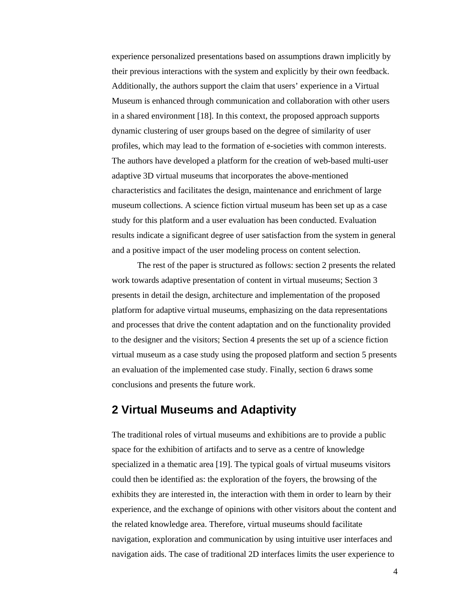experience personalized presentations based on assumptions drawn implicitly by their previous interactions with the system and explicitly by their own feedback. Additionally, the authors support the claim that users' experience in a Virtual Museum is enhanced through communication and collaboration with other users in a shared environment [18]. In this context, the proposed approach supports dynamic clustering of user groups based on the degree of similarity of user profiles, which may lead to the formation of e-societies with common interests. The authors have developed a platform for the creation of web-based multi-user adaptive 3D virtual museums that incorporates the above-mentioned characteristics and facilitates the design, maintenance and enrichment of large museum collections. A science fiction virtual museum has been set up as a case study for this platform and a user evaluation has been conducted. Evaluation results indicate a significant degree of user satisfaction from the system in general and a positive impact of the user modeling process on content selection.

The rest of the paper is structured as follows: section 2 presents the related work towards adaptive presentation of content in virtual museums; Section 3 presents in detail the design, architecture and implementation of the proposed platform for adaptive virtual museums, emphasizing on the data representations and processes that drive the content adaptation and on the functionality provided to the designer and the visitors; Section 4 presents the set up of a science fiction virtual museum as a case study using the proposed platform and section 5 presents an evaluation of the implemented case study. Finally, section 6 draws some conclusions and presents the future work.

# **2 Virtual Museums and Adaptivity**

The traditional roles of virtual museums and exhibitions are to provide a public space for the exhibition of artifacts and to serve as a centre of knowledge specialized in a thematic area [19]. The typical goals of virtual museums visitors could then be identified as: the exploration of the foyers, the browsing of the exhibits they are interested in, the interaction with them in order to learn by their experience, and the exchange of opinions with other visitors about the content and the related knowledge area. Therefore, virtual museums should facilitate navigation, exploration and communication by using intuitive user interfaces and navigation aids. The case of traditional 2D interfaces limits the user experience to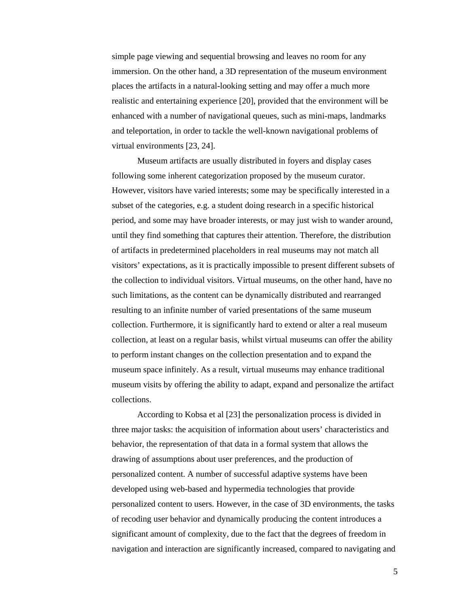simple page viewing and sequential browsing and leaves no room for any immersion. On the other hand, a 3D representation of the museum environment places the artifacts in a natural-looking setting and may offer a much more realistic and entertaining experience [20], provided that the environment will be enhanced with a number of navigational queues, such as mini-maps, landmarks and teleportation, in order to tackle the well-known navigational problems of virtual environments [23, 24].

Museum artifacts are usually distributed in foyers and display cases following some inherent categorization proposed by the museum curator. However, visitors have varied interests; some may be specifically interested in a subset of the categories, e.g. a student doing research in a specific historical period, and some may have broader interests, or may just wish to wander around, until they find something that captures their attention. Therefore, the distribution of artifacts in predetermined placeholders in real museums may not match all visitors' expectations, as it is practically impossible to present different subsets of the collection to individual visitors. Virtual museums, on the other hand, have no such limitations, as the content can be dynamically distributed and rearranged resulting to an infinite number of varied presentations of the same museum collection. Furthermore, it is significantly hard to extend or alter a real museum collection, at least on a regular basis, whilst virtual museums can offer the ability to perform instant changes on the collection presentation and to expand the museum space infinitely. As a result, virtual museums may enhance traditional museum visits by offering the ability to adapt, expand and personalize the artifact collections.

 According to Kobsa et al [23] the personalization process is divided in three major tasks: the acquisition of information about users' characteristics and behavior, the representation of that data in a formal system that allows the drawing of assumptions about user preferences, and the production of personalized content. A number of successful adaptive systems have been developed using web-based and hypermedia technologies that provide personalized content to users. However, in the case of 3D environments, the tasks of recoding user behavior and dynamically producing the content introduces a significant amount of complexity, due to the fact that the degrees of freedom in navigation and interaction are significantly increased, compared to navigating and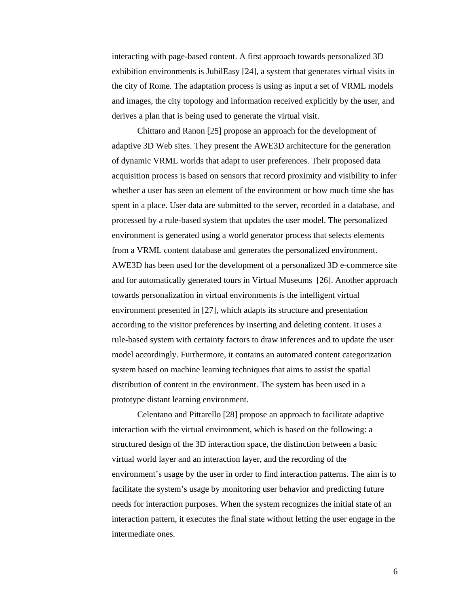interacting with page-based content. A first approach towards personalized 3D exhibition environments is JubilEasy [24], a system that generates virtual visits in the city of Rome. The adaptation process is using as input a set of VRML models and images, the city topology and information received explicitly by the user, and derives a plan that is being used to generate the virtual visit.

Chittaro and Ranon [25] propose an approach for the development of adaptive 3D Web sites. They present the AWE3D architecture for the generation of dynamic VRML worlds that adapt to user preferences. Their proposed data acquisition process is based on sensors that record proximity and visibility to infer whether a user has seen an element of the environment or how much time she has spent in a place. User data are submitted to the server, recorded in a database, and processed by a rule-based system that updates the user model. The personalized environment is generated using a world generator process that selects elements from a VRML content database and generates the personalized environment. AWE3D has been used for the development of a personalized 3D e-commerce site and for automatically generated tours in Virtual Museums [26]. Another approach towards personalization in virtual environments is the intelligent virtual environment presented in [27], which adapts its structure and presentation according to the visitor preferences by inserting and deleting content. It uses a rule-based system with certainty factors to draw inferences and to update the user model accordingly. Furthermore, it contains an automated content categorization system based on machine learning techniques that aims to assist the spatial distribution of content in the environment. The system has been used in a prototype distant learning environment.

Celentano and Pittarello [28] propose an approach to facilitate adaptive interaction with the virtual environment, which is based on the following: a structured design of the 3D interaction space, the distinction between a basic virtual world layer and an interaction layer, and the recording of the environment's usage by the user in order to find interaction patterns. The aim is to facilitate the system's usage by monitoring user behavior and predicting future needs for interaction purposes. When the system recognizes the initial state of an interaction pattern, it executes the final state without letting the user engage in the intermediate ones.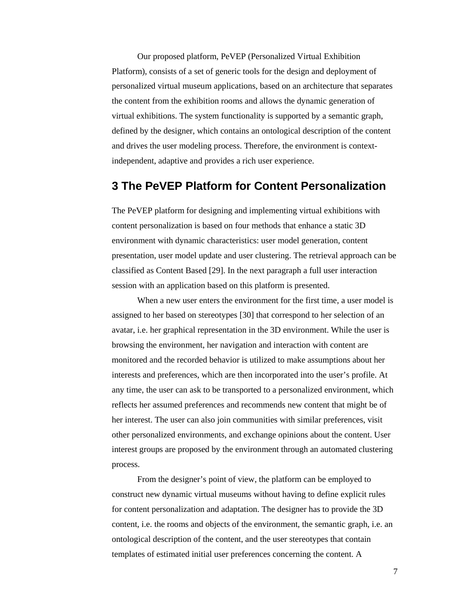Our proposed platform, PeVEP (Personalized Virtual Exhibition Platform), consists of a set of generic tools for the design and deployment of personalized virtual museum applications, based on an architecture that separates the content from the exhibition rooms and allows the dynamic generation of virtual exhibitions. The system functionality is supported by a semantic graph, defined by the designer, which contains an ontological description of the content and drives the user modeling process. Therefore, the environment is contextindependent, adaptive and provides a rich user experience.

## **3 The PeVEP Platform for Content Personalization**

The PeVEP platform for designing and implementing virtual exhibitions with content personalization is based on four methods that enhance a static 3D environment with dynamic characteristics: user model generation, content presentation, user model update and user clustering. The retrieval approach can be classified as Content Based [29]. In the next paragraph a full user interaction session with an application based on this platform is presented.

When a new user enters the environment for the first time, a user model is assigned to her based on stereotypes [30] that correspond to her selection of an avatar, i.e. her graphical representation in the 3D environment. While the user is browsing the environment, her navigation and interaction with content are monitored and the recorded behavior is utilized to make assumptions about her interests and preferences, which are then incorporated into the user's profile. At any time, the user can ask to be transported to a personalized environment, which reflects her assumed preferences and recommends new content that might be of her interest. The user can also join communities with similar preferences, visit other personalized environments, and exchange opinions about the content. User interest groups are proposed by the environment through an automated clustering process.

From the designer's point of view, the platform can be employed to construct new dynamic virtual museums without having to define explicit rules for content personalization and adaptation. The designer has to provide the 3D content, i.e. the rooms and objects of the environment, the semantic graph, i.e. an ontological description of the content, and the user stereotypes that contain templates of estimated initial user preferences concerning the content. A

7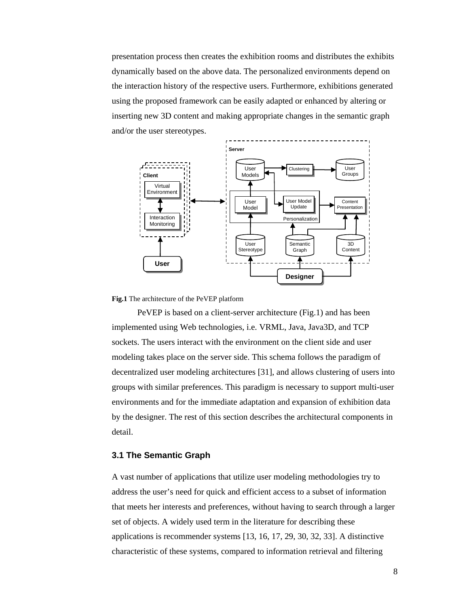presentation process then creates the exhibition rooms and distributes the exhibits dynamically based on the above data. The personalized environments depend on the interaction history of the respective users. Furthermore, exhibitions generated using the proposed framework can be easily adapted or enhanced by altering or inserting new 3D content and making appropriate changes in the semantic graph and/or the user stereotypes.



**Fig.1** The architecture of the PeVEP platform

PeVEP is based on a client-server architecture (Fig.1) and has been implemented using Web technologies, i.e. VRML, Java, Java3D, and TCP sockets. The users interact with the environment on the client side and user modeling takes place on the server side. This schema follows the paradigm of decentralized user modeling architectures [31], and allows clustering of users into groups with similar preferences. This paradigm is necessary to support multi-user environments and for the immediate adaptation and expansion of exhibition data by the designer. The rest of this section describes the architectural components in detail.

## **3.1 The Semantic Graph**

A vast number of applications that utilize user modeling methodologies try to address the user's need for quick and efficient access to a subset of information that meets her interests and preferences, without having to search through a larger set of objects. A widely used term in the literature for describing these applications is recommender systems [13, 16, 17, 29, 30, 32, 33]. A distinctive characteristic of these systems, compared to information retrieval and filtering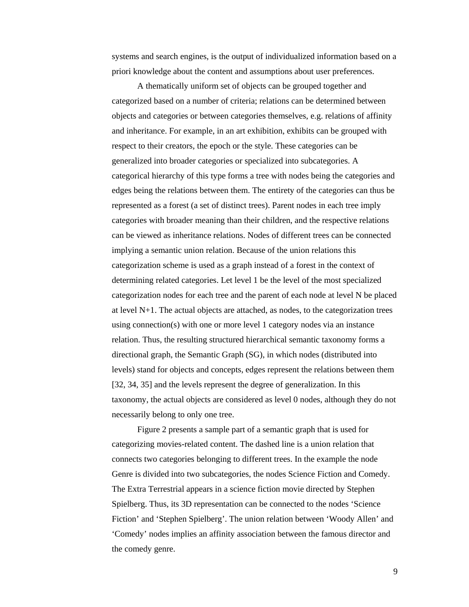systems and search engines, is the output of individualized information based on a priori knowledge about the content and assumptions about user preferences.

A thematically uniform set of objects can be grouped together and categorized based on a number of criteria; relations can be determined between objects and categories or between categories themselves, e.g. relations of affinity and inheritance. For example, in an art exhibition, exhibits can be grouped with respect to their creators, the epoch or the style. These categories can be generalized into broader categories or specialized into subcategories. A categorical hierarchy of this type forms a tree with nodes being the categories and edges being the relations between them. The entirety of the categories can thus be represented as a forest (a set of distinct trees). Parent nodes in each tree imply categories with broader meaning than their children, and the respective relations can be viewed as inheritance relations. Nodes of different trees can be connected implying a semantic union relation. Because of the union relations this categorization scheme is used as a graph instead of a forest in the context of determining related categories. Let level 1 be the level of the most specialized categorization nodes for each tree and the parent of each node at level N be placed at level N+1. The actual objects are attached, as nodes, to the categorization trees using connection(s) with one or more level 1 category nodes via an instance relation. Thus, the resulting structured hierarchical semantic taxonomy forms a directional graph, the Semantic Graph (SG), in which nodes (distributed into levels) stand for objects and concepts, edges represent the relations between them [32, 34, 35] and the levels represent the degree of generalization. In this taxonomy, the actual objects are considered as level 0 nodes, although they do not necessarily belong to only one tree.

Figure 2 presents a sample part of a semantic graph that is used for categorizing movies-related content. The dashed line is a union relation that connects two categories belonging to different trees. In the example the node Genre is divided into two subcategories, the nodes Science Fiction and Comedy. The Extra Terrestrial appears in a science fiction movie directed by Stephen Spielberg. Thus, its 3D representation can be connected to the nodes 'Science Fiction' and 'Stephen Spielberg'. The union relation between 'Woody Allen' and 'Comedy' nodes implies an affinity association between the famous director and the comedy genre.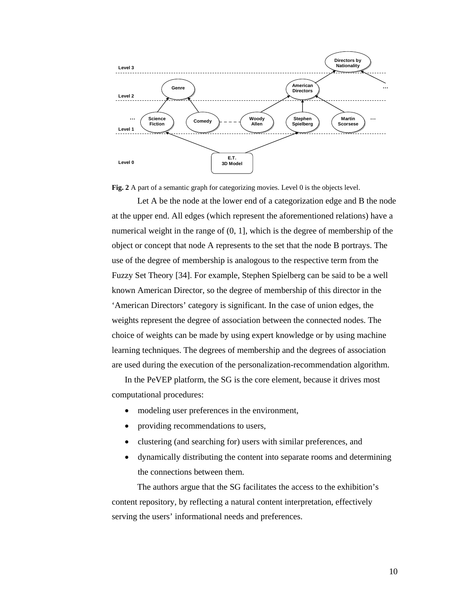

**Fig. 2** A part of a semantic graph for categorizing movies. Level 0 is the objects level.

Let A be the node at the lower end of a categorization edge and B the node at the upper end. All edges (which represent the aforementioned relations) have a numerical weight in the range of (0, 1], which is the degree of membership of the object or concept that node A represents to the set that the node B portrays. The use of the degree of membership is analogous to the respective term from the Fuzzy Set Theory [34]. For example, Stephen Spielberg can be said to be a well known American Director, so the degree of membership of this director in the 'American Directors' category is significant. In the case of union edges, the weights represent the degree of association between the connected nodes. The choice of weights can be made by using expert knowledge or by using machine learning techniques. The degrees of membership and the degrees of association are used during the execution of the personalization-recommendation algorithm.

In the PeVEP platform, the SG is the core element, because it drives most computational procedures:

- modeling user preferences in the environment,
- providing recommendations to users,
- clustering (and searching for) users with similar preferences, and
- dynamically distributing the content into separate rooms and determining the connections between them.

The authors argue that the SG facilitates the access to the exhibition's content repository, by reflecting a natural content interpretation, effectively serving the users' informational needs and preferences.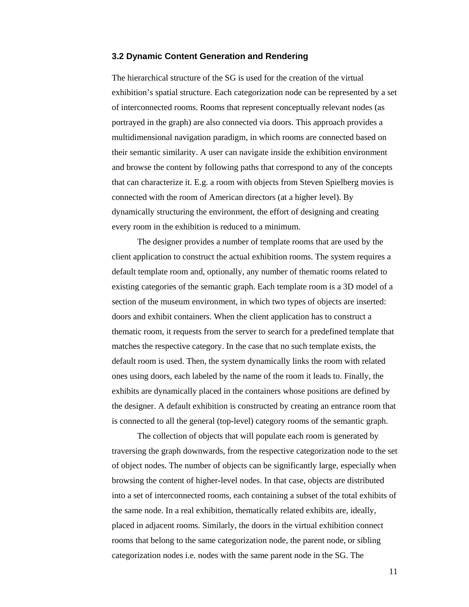### **3.2 Dynamic Content Generation and Rendering**

The hierarchical structure of the SG is used for the creation of the virtual exhibition's spatial structure. Each categorization node can be represented by a set of interconnected rooms. Rooms that represent conceptually relevant nodes (as portrayed in the graph) are also connected via doors. This approach provides a multidimensional navigation paradigm, in which rooms are connected based on their semantic similarity. A user can navigate inside the exhibition environment and browse the content by following paths that correspond to any of the concepts that can characterize it. E.g. a room with objects from Steven Spielberg movies is connected with the room of American directors (at a higher level). By dynamically structuring the environment, the effort of designing and creating every room in the exhibition is reduced to a minimum.

The designer provides a number of template rooms that are used by the client application to construct the actual exhibition rooms. The system requires a default template room and, optionally, any number of thematic rooms related to existing categories of the semantic graph. Each template room is a 3D model of a section of the museum environment, in which two types of objects are inserted: doors and exhibit containers. When the client application has to construct a thematic room, it requests from the server to search for a predefined template that matches the respective category. In the case that no such template exists, the default room is used. Then, the system dynamically links the room with related ones using doors, each labeled by the name of the room it leads to. Finally, the exhibits are dynamically placed in the containers whose positions are defined by the designer. A default exhibition is constructed by creating an entrance room that is connected to all the general (top-level) category rooms of the semantic graph.

The collection of objects that will populate each room is generated by traversing the graph downwards, from the respective categorization node to the set of object nodes. The number of objects can be significantly large, especially when browsing the content of higher-level nodes. In that case, objects are distributed into a set of interconnected rooms, each containing a subset of the total exhibits of the same node. In a real exhibition, thematically related exhibits are, ideally, placed in adjacent rooms. Similarly, the doors in the virtual exhibition connect rooms that belong to the same categorization node, the parent node, or sibling categorization nodes i.e. nodes with the same parent node in the SG. The

11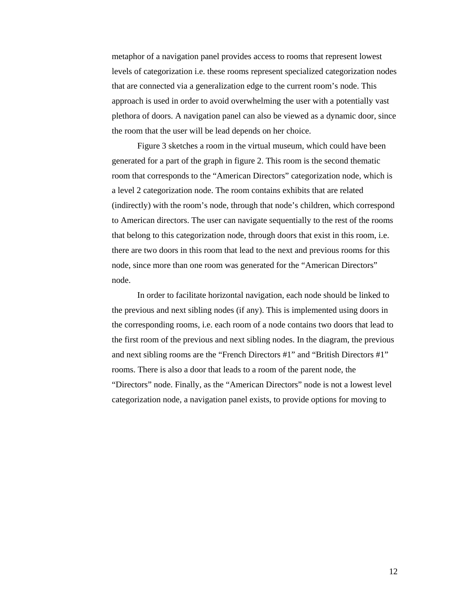metaphor of a navigation panel provides access to rooms that represent lowest levels of categorization i.e. these rooms represent specialized categorization nodes that are connected via a generalization edge to the current room's node. This approach is used in order to avoid overwhelming the user with a potentially vast plethora of doors. A navigation panel can also be viewed as a dynamic door, since the room that the user will be lead depends on her choice.

Figure 3 sketches a room in the virtual museum, which could have been generated for a part of the graph in figure 2. This room is the second thematic room that corresponds to the "American Directors" categorization node, which is a level 2 categorization node. The room contains exhibits that are related (indirectly) with the room's node, through that node's children, which correspond to American directors. The user can navigate sequentially to the rest of the rooms that belong to this categorization node, through doors that exist in this room, i.e. there are two doors in this room that lead to the next and previous rooms for this node, since more than one room was generated for the "American Directors" node.

In order to facilitate horizontal navigation, each node should be linked to the previous and next sibling nodes (if any). This is implemented using doors in the corresponding rooms, i.e. each room of a node contains two doors that lead to the first room of the previous and next sibling nodes. In the diagram, the previous and next sibling rooms are the "French Directors #1" and "British Directors #1" rooms. There is also a door that leads to a room of the parent node, the "Directors" node. Finally, as the "American Directors" node is not a lowest level categorization node, a navigation panel exists, to provide options for moving to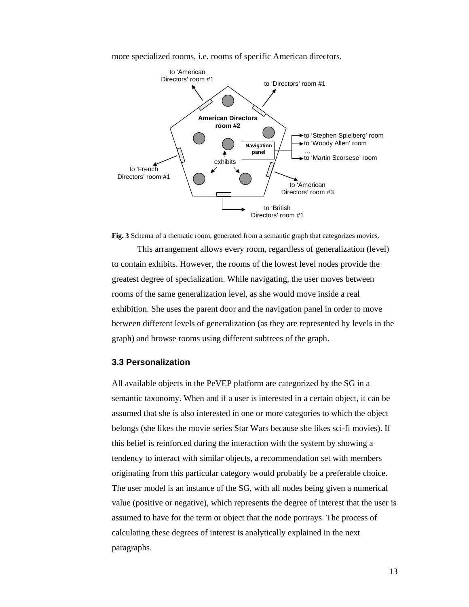

more specialized rooms, i.e. rooms of specific American directors.

Fig. 3 Schema of a thematic room, generated from a semantic graph that categorizes movies.

This arrangement allows every room, regardless of generalization (level) to contain exhibits. However, the rooms of the lowest level nodes provide the greatest degree of specialization. While navigating, the user moves between rooms of the same generalization level, as she would move inside a real exhibition. She uses the parent door and the navigation panel in order to move between different levels of generalization (as they are represented by levels in the graph) and browse rooms using different subtrees of the graph.

## **3.3 Personalization**

All available objects in the PeVEP platform are categorized by the SG in a semantic taxonomy. When and if a user is interested in a certain object, it can be assumed that she is also interested in one or more categories to which the object belongs (she likes the movie series Star Wars because she likes sci-fi movies). If this belief is reinforced during the interaction with the system by showing a tendency to interact with similar objects, a recommendation set with members originating from this particular category would probably be a preferable choice. The user model is an instance of the SG, with all nodes being given a numerical value (positive or negative), which represents the degree of interest that the user is assumed to have for the term or object that the node portrays. The process of calculating these degrees of interest is analytically explained in the next paragraphs.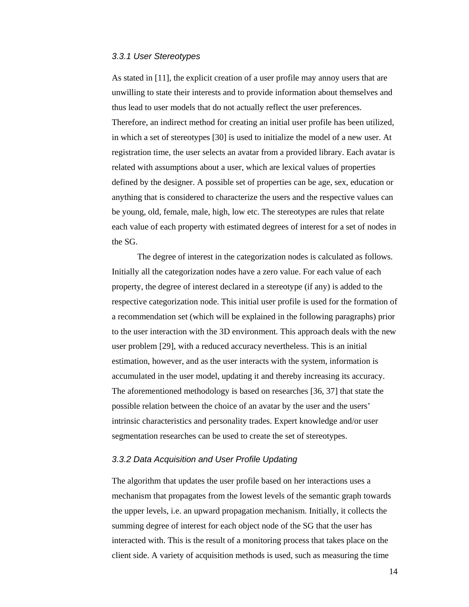## *3.3.1 User Stereotypes*

As stated in [11], the explicit creation of a user profile may annoy users that are unwilling to state their interests and to provide information about themselves and thus lead to user models that do not actually reflect the user preferences. Therefore, an indirect method for creating an initial user profile has been utilized, in which a set of stereotypes [30] is used to initialize the model of a new user. At registration time, the user selects an avatar from a provided library. Each avatar is related with assumptions about a user, which are lexical values of properties defined by the designer. A possible set of properties can be age, sex, education or anything that is considered to characterize the users and the respective values can be young, old, female, male, high, low etc. The stereotypes are rules that relate each value of each property with estimated degrees of interest for a set of nodes in the SG.

The degree of interest in the categorization nodes is calculated as follows. Initially all the categorization nodes have a zero value. For each value of each property, the degree of interest declared in a stereotype (if any) is added to the respective categorization node. This initial user profile is used for the formation of a recommendation set (which will be explained in the following paragraphs) prior to the user interaction with the 3D environment. This approach deals with the new user problem [29], with a reduced accuracy nevertheless. This is an initial estimation, however, and as the user interacts with the system, information is accumulated in the user model, updating it and thereby increasing its accuracy. The aforementioned methodology is based on researches [36, 37] that state the possible relation between the choice of an avatar by the user and the users' intrinsic characteristics and personality trades. Expert knowledge and/or user segmentation researches can be used to create the set of stereotypes.

## *3.3.2 Data Acquisition and User Profile Updating*

The algorithm that updates the user profile based on her interactions uses a mechanism that propagates from the lowest levels of the semantic graph towards the upper levels, i.e. an upward propagation mechanism. Initially, it collects the summing degree of interest for each object node of the SG that the user has interacted with. This is the result of a monitoring process that takes place on the client side. A variety of acquisition methods is used, such as measuring the time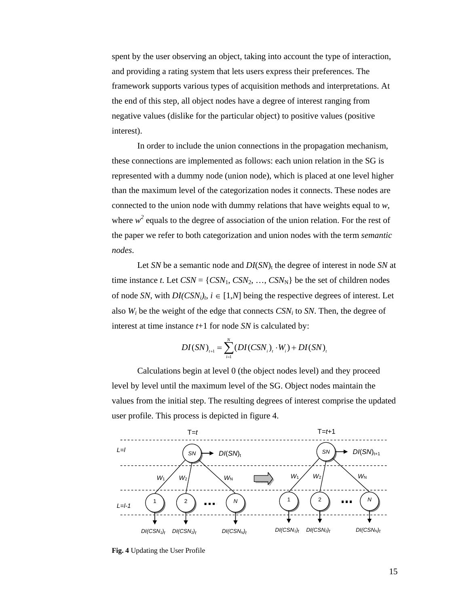spent by the user observing an object, taking into account the type of interaction, and providing a rating system that lets users express their preferences. The framework supports various types of acquisition methods and interpretations. At the end of this step, all object nodes have a degree of interest ranging from negative values (dislike for the particular object) to positive values (positive interest).

In order to include the union connections in the propagation mechanism, these connections are implemented as follows: each union relation in the SG is represented with a dummy node (union node), which is placed at one level higher than the maximum level of the categorization nodes it connects. These nodes are connected to the union node with dummy relations that have weights equal to *w*, where  $w^2$  equals to the degree of association of the union relation. For the rest of the paper we refer to both categorization and union nodes with the term *semantic nodes*.

Let *SN* be a semantic node and *DI*(*SN*)<sub>t</sub> the degree of interest in node *SN* at time instance *t*. Let  $CSN = \{CSN_1, CSN_2, \ldots, CSN_N\}$  be the set of children nodes of node *SN*, with  $DI(CSN_i)_t$ ,  $i \in [1,N]$  being the respective degrees of interest. Let also *Wi* be the weight of the edge that connects *CSNi* to *SN*. Then, the degree of interest at time instance *t*+1 for node *SN* is calculated by:

$$
DI(SN)_{_{t+1}} = \sum_{i=1}^{N} (DI(CSN_{i}), \, W_{i}) + DI(SN),
$$

Calculations begin at level 0 (the object nodes level) and they proceed level by level until the maximum level of the SG. Object nodes maintain the values from the initial step. The resulting degrees of interest comprise the updated user profile. This process is depicted in figure 4.



**Fig. 4** Updating the User Profile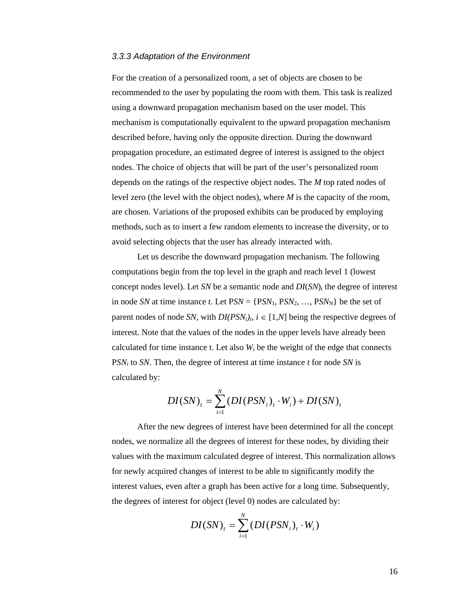### *3.3.3 Adaptation of the Environment*

For the creation of a personalized room, a set of objects are chosen to be recommended to the user by populating the room with them. This task is realized using a downward propagation mechanism based on the user model. This mechanism is computationally equivalent to the upward propagation mechanism described before, having only the opposite direction. During the downward propagation procedure, an estimated degree of interest is assigned to the object nodes. The choice of objects that will be part of the user's personalized room depends on the ratings of the respective object nodes. The *M* top rated nodes of level zero (the level with the object nodes), where *M* is the capacity of the room, are chosen. Variations of the proposed exhibits can be produced by employing methods, such as to insert a few random elements to increase the diversity, or to avoid selecting objects that the user has already interacted with.

Let us describe the downward propagation mechanism. The following computations begin from the top level in the graph and reach level 1 (lowest concept nodes level). Let *SN* be a semantic node and  $DI(SN)$ <sub>t</sub> the degree of interest in node *SN* at time instance *t*. Let  $PSN = \{PSN_1, PSN_2, ..., PSN_N\}$  be the set of parent nodes of node *SN*, with  $DI(PSN_i)_t$ ,  $i \in [1,N]$  being the respective degrees of interest. Note that the values of the nodes in the upper levels have already been calculated for time instance t. Let also  $W_i$  be the weight of the edge that connects P*SNi* to *SN*. Then, the degree of interest at time instance *t* for node *SN* is calculated by:

$$
DI(SN)_t = \sum_{i=1}^{N} (DI(PSN_i)_t \cdot W_i) + DI(SN)_t
$$

After the new degrees of interest have been determined for all the concept nodes, we normalize all the degrees of interest for these nodes, by dividing their values with the maximum calculated degree of interest. This normalization allows for newly acquired changes of interest to be able to significantly modify the interest values, even after a graph has been active for a long time. Subsequently, the degrees of interest for object (level 0) nodes are calculated by:

$$
DI(SN)_t = \sum_{i=1}^N (DI(PSN_i)_t \cdot W_i)
$$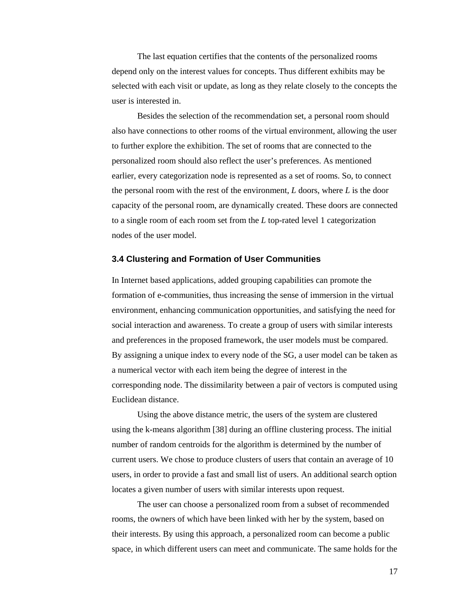The last equation certifies that the contents of the personalized rooms depend only on the interest values for concepts. Thus different exhibits may be selected with each visit or update, as long as they relate closely to the concepts the user is interested in.

Besides the selection of the recommendation set, a personal room should also have connections to other rooms of the virtual environment, allowing the user to further explore the exhibition. The set of rooms that are connected to the personalized room should also reflect the user's preferences. As mentioned earlier, every categorization node is represented as a set of rooms. So, to connect the personal room with the rest of the environment, *L* doors, where *L* is the door capacity of the personal room, are dynamically created. These doors are connected to a single room of each room set from the *L* top-rated level 1 categorization nodes of the user model.

## **3.4 Clustering and Formation of User Communities**

In Internet based applications, added grouping capabilities can promote the formation of e-communities, thus increasing the sense of immersion in the virtual environment, enhancing communication opportunities, and satisfying the need for social interaction and awareness. To create a group of users with similar interests and preferences in the proposed framework, the user models must be compared. By assigning a unique index to every node of the SG, a user model can be taken as a numerical vector with each item being the degree of interest in the corresponding node. The dissimilarity between a pair of vectors is computed using Euclidean distance.

Using the above distance metric, the users of the system are clustered using the k-means algorithm [38] during an offline clustering process. The initial number of random centroids for the algorithm is determined by the number of current users. We chose to produce clusters of users that contain an average of 10 users, in order to provide a fast and small list of users. An additional search option locates a given number of users with similar interests upon request.

The user can choose a personalized room from a subset of recommended rooms, the owners of which have been linked with her by the system, based on their interests. By using this approach, a personalized room can become a public space, in which different users can meet and communicate. The same holds for the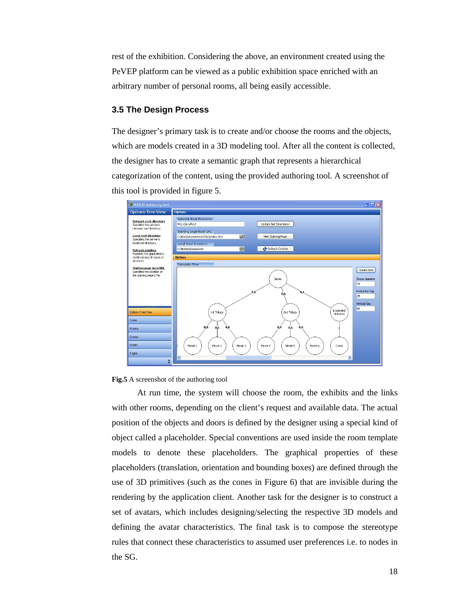rest of the exhibition. Considering the above, an environment created using the PeVEP platform can be viewed as a public exhibition space enriched with an arbitrary number of personal rooms, all being easily accessible.

## **3.5 The Design Process**

The designer's primary task is to create and/or choose the rooms and the objects, which are models created in a 3D modeling tool. After all the content is collected, the designer has to create a semantic graph that represents a hierarchical categorization of the content, using the provided authoring tool. A screenshot of this tool is provided in figure 5.





At run time, the system will choose the room, the exhibits and the links with other rooms, depending on the client's request and available data. The actual position of the objects and doors is defined by the designer using a special kind of object called a placeholder. Special conventions are used inside the room template models to denote these placeholders. The graphical properties of these placeholders (translation, orientation and bounding boxes) are defined through the use of 3D primitives (such as the cones in Figure 6) that are invisible during the rendering by the application client. Another task for the designer is to construct a set of avatars, which includes designing/selecting the respective 3D models and defining the avatar characteristics. The final task is to compose the stereotype rules that connect these characteristics to assumed user preferences i.e. to nodes in the SG.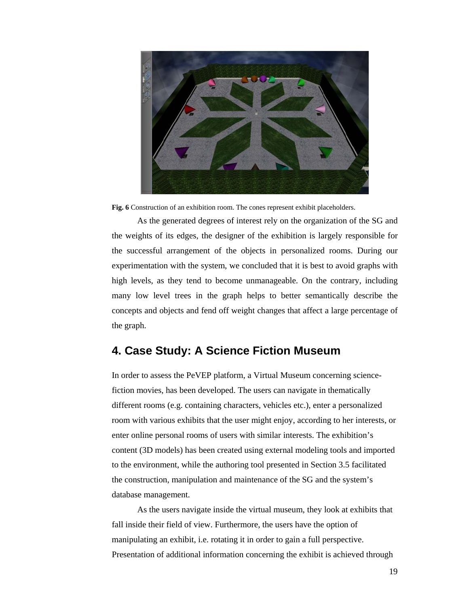

**Fig. 6** Construction of an exhibition room. The cones represent exhibit placeholders.

As the generated degrees of interest rely on the organization of the SG and the weights of its edges, the designer of the exhibition is largely responsible for the successful arrangement of the objects in personalized rooms. During our experimentation with the system, we concluded that it is best to avoid graphs with high levels, as they tend to become unmanageable. On the contrary, including many low level trees in the graph helps to better semantically describe the concepts and objects and fend off weight changes that affect a large percentage of the graph.

# **4. Case Study: A Science Fiction Museum**

In order to assess the PeVEP platform, a Virtual Museum concerning sciencefiction movies, has been developed. The users can navigate in thematically different rooms (e.g. containing characters, vehicles etc.), enter a personalized room with various exhibits that the user might enjoy, according to her interests, or enter online personal rooms of users with similar interests. The exhibition's content (3D models) has been created using external modeling tools and imported to the environment, while the authoring tool presented in Section 3.5 facilitated the construction, manipulation and maintenance of the SG and the system's database management.

As the users navigate inside the virtual museum, they look at exhibits that fall inside their field of view. Furthermore, the users have the option of manipulating an exhibit, i.e. rotating it in order to gain a full perspective. Presentation of additional information concerning the exhibit is achieved through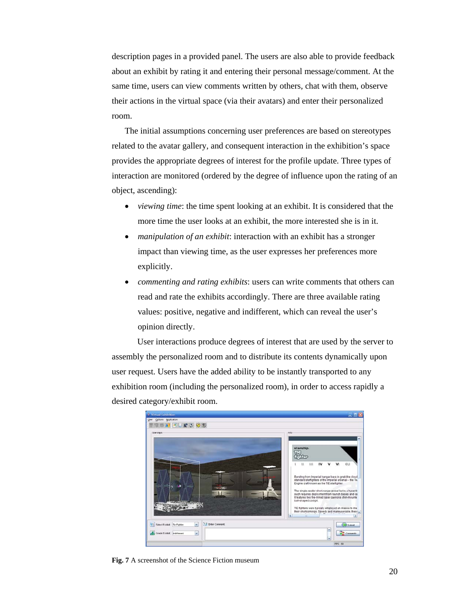description pages in a provided panel. The users are also able to provide feedback about an exhibit by rating it and entering their personal message/comment. At the same time, users can view comments written by others, chat with them, observe their actions in the virtual space (via their avatars) and enter their personalized room.

The initial assumptions concerning user preferences are based on stereotypes related to the avatar gallery, and consequent interaction in the exhibition's space provides the appropriate degrees of interest for the profile update. Three types of interaction are monitored (ordered by the degree of influence upon the rating of an object, ascending):

- *viewing time*: the time spent looking at an exhibit. It is considered that the more time the user looks at an exhibit, the more interested she is in it.
- *manipulation of an exhibit*: interaction with an exhibit has a stronger impact than viewing time, as the user expresses her preferences more explicitly.
- *commenting and rating exhibits*: users can write comments that others can read and rate the exhibits accordingly. There are three available rating values: positive, negative and indifferent, which can reveal the user's opinion directly.

User interactions produce degrees of interest that are used by the server to assembly the personalized room and to distribute its contents dynamically upon user request. Users have the added ability to be instantly transported to any exhibition room (including the personalized room), in order to access rapidly a desired category/exhibit room.



**Fig. 7** A screenshot of the Science Fiction museum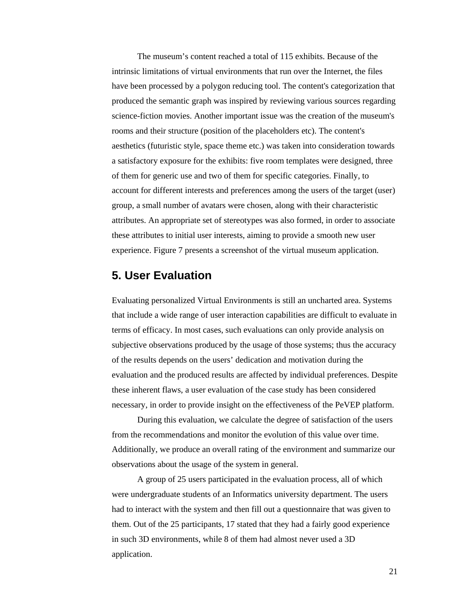The museum's content reached a total of 115 exhibits. Because of the intrinsic limitations of virtual environments that run over the Internet, the files have been processed by a polygon reducing tool. The content's categorization that produced the semantic graph was inspired by reviewing various sources regarding science-fiction movies. Another important issue was the creation of the museum's rooms and their structure (position of the placeholders etc). The content's aesthetics (futuristic style, space theme etc.) was taken into consideration towards a satisfactory exposure for the exhibits: five room templates were designed, three of them for generic use and two of them for specific categories. Finally, to account for different interests and preferences among the users of the target (user) group, a small number of avatars were chosen, along with their characteristic attributes. An appropriate set of stereotypes was also formed, in order to associate these attributes to initial user interests, aiming to provide a smooth new user experience. Figure 7 presents a screenshot of the virtual museum application.

# **5. User Evaluation**

Evaluating personalized Virtual Environments is still an uncharted area. Systems that include a wide range of user interaction capabilities are difficult to evaluate in terms of efficacy. In most cases, such evaluations can only provide analysis on subjective observations produced by the usage of those systems; thus the accuracy of the results depends on the users' dedication and motivation during the evaluation and the produced results are affected by individual preferences. Despite these inherent flaws, a user evaluation of the case study has been considered necessary, in order to provide insight on the effectiveness of the PeVEP platform.

During this evaluation, we calculate the degree of satisfaction of the users from the recommendations and monitor the evolution of this value over time. Additionally, we produce an overall rating of the environment and summarize our observations about the usage of the system in general.

A group of 25 users participated in the evaluation process, all of which were undergraduate students of an Informatics university department. The users had to interact with the system and then fill out a questionnaire that was given to them. Out of the 25 participants, 17 stated that they had a fairly good experience in such 3D environments, while 8 of them had almost never used a 3D application.

21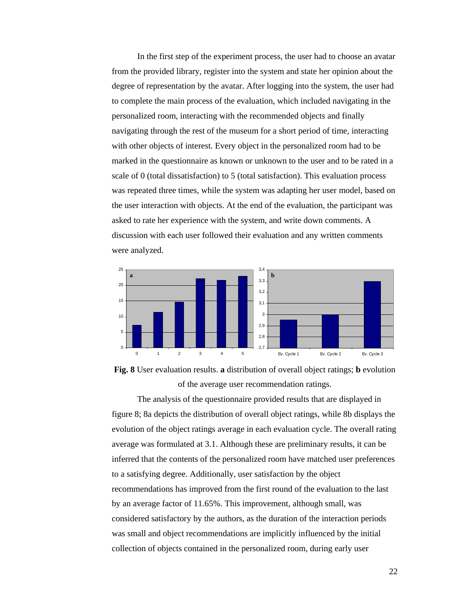In the first step of the experiment process, the user had to choose an avatar from the provided library, register into the system and state her opinion about the degree of representation by the avatar. After logging into the system, the user had to complete the main process of the evaluation, which included navigating in the personalized room, interacting with the recommended objects and finally navigating through the rest of the museum for a short period of time, interacting with other objects of interest. Every object in the personalized room had to be marked in the questionnaire as known or unknown to the user and to be rated in a scale of 0 (total dissatisfaction) to 5 (total satisfaction). This evaluation process was repeated three times, while the system was adapting her user model, based on the user interaction with objects. At the end of the evaluation, the participant was asked to rate her experience with the system, and write down comments. A discussion with each user followed their evaluation and any written comments were analyzed.





The analysis of the questionnaire provided results that are displayed in figure 8; 8a depicts the distribution of overall object ratings, while 8b displays the evolution of the object ratings average in each evaluation cycle. The overall rating average was formulated at 3.1. Although these are preliminary results, it can be inferred that the contents of the personalized room have matched user preferences to a satisfying degree. Additionally, user satisfaction by the object recommendations has improved from the first round of the evaluation to the last by an average factor of 11.65%. This improvement, although small, was considered satisfactory by the authors, as the duration of the interaction periods was small and object recommendations are implicitly influenced by the initial collection of objects contained in the personalized room, during early user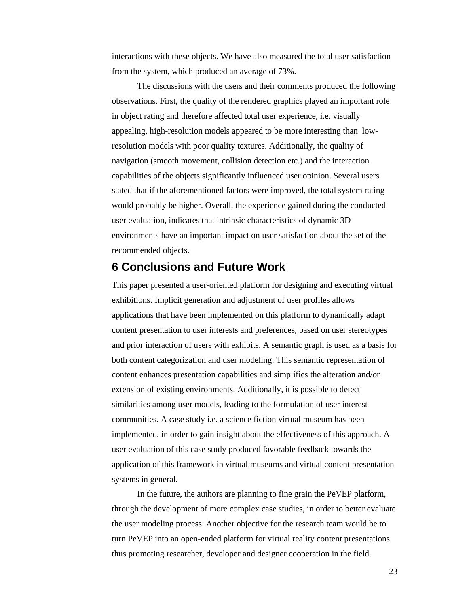interactions with these objects. We have also measured the total user satisfaction from the system, which produced an average of 73%.

The discussions with the users and their comments produced the following observations. First, the quality of the rendered graphics played an important role in object rating and therefore affected total user experience, i.e. visually appealing, high-resolution models appeared to be more interesting than lowresolution models with poor quality textures. Additionally, the quality of navigation (smooth movement, collision detection etc.) and the interaction capabilities of the objects significantly influenced user opinion. Several users stated that if the aforementioned factors were improved, the total system rating would probably be higher. Overall, the experience gained during the conducted user evaluation, indicates that intrinsic characteristics of dynamic 3D environments have an important impact on user satisfaction about the set of the recommended objects.

# **6 Conclusions and Future Work**

This paper presented a user-oriented platform for designing and executing virtual exhibitions. Implicit generation and adjustment of user profiles allows applications that have been implemented on this platform to dynamically adapt content presentation to user interests and preferences, based on user stereotypes and prior interaction of users with exhibits. A semantic graph is used as a basis for both content categorization and user modeling. This semantic representation of content enhances presentation capabilities and simplifies the alteration and/or extension of existing environments. Additionally, it is possible to detect similarities among user models, leading to the formulation of user interest communities. A case study i.e. a science fiction virtual museum has been implemented, in order to gain insight about the effectiveness of this approach. A user evaluation of this case study produced favorable feedback towards the application of this framework in virtual museums and virtual content presentation systems in general.

In the future, the authors are planning to fine grain the PeVEP platform, through the development of more complex case studies, in order to better evaluate the user modeling process. Another objective for the research team would be to turn PeVEP into an open-ended platform for virtual reality content presentations thus promoting researcher, developer and designer cooperation in the field.

23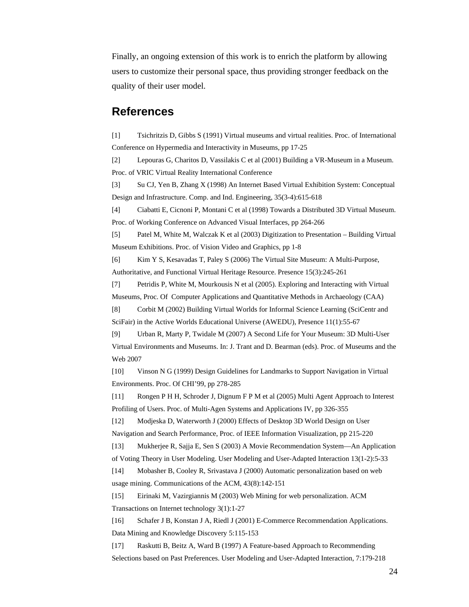Finally, an ongoing extension of this work is to enrich the platform by allowing users to customize their personal space, thus providing stronger feedback on the quality of their user model.

## **References**

[1] Tsichritzis D, Gibbs S (1991) Virtual museums and virtual realities. Proc. of International Conference on Hypermedia and Interactivity in Museums, pp 17-25

[2] Lepouras G, Charitos D, Vassilakis C et al (2001) Building a VR-Museum in a Museum. Proc. of VRIC Virtual Reality International Conference

[3] Su CJ, Yen B, Zhang X (1998) An Internet Based Virtual Exhibition System: Conceptual Design and Infrastructure. Comp. and Ind. Engineering, 35(3-4):615-618

[4] Ciabatti E, Cicnoni P, Montani C et al (1998) Towards a Distributed 3D Virtual Museum. Proc. of Working Conference on Advanced Visual Interfaces, pp 264-266

[5] Patel M, White M, Walczak K et al (2003) Digitization to Presentation – Building Virtual Museum Exhibitions. Proc. of Vision Video and Graphics, pp 1-8

[6] Kim Y S, Kesavadas T, Paley S (2006) The Virtual Site Museum: A Multi-Purpose, Authoritative, and Functional Virtual Heritage Resource. Presence 15(3):245-261

[7] Petridis P, White M, Mourkousis N et al (2005). Exploring and Interacting with Virtual Museums, Proc. Of Computer Applications and Quantitative Methods in Archaeology (CAA)

[8] Corbit M (2002) Building Virtual Worlds for Informal Science Learning (SciCentr and SciFair) in the Active Worlds Educational Universe (AWEDU), Presence 11(1):55-67

[9] Urban R, Marty P, Twidale M (2007) A Second Life for Your Museum: 3D Multi-User Virtual Environments and Museums. In: J. Trant and D. Bearman (eds). Proc. of Museums and the Web 2007

[10] Vinson N G (1999) Design Guidelines for Landmarks to Support Navigation in Virtual Environments. Proc. Of CHI'99, pp 278-285

[11] Rongen P H H, Schroder J, Dignum F P M et al (2005) Multi Agent Approach to Interest Profiling of Users. Proc. of Multi-Agen Systems and Applications IV, pp 326-355

[12] Modjeska D, Waterworth J (2000) Effects of Desktop 3D World Design on User Navigation and Search Performance, Proc. of IEEE Information Visualization, pp 215-220

[13] Mukherjee R, Sajja E, Sen S (2003) A Movie Recommendation System—An Application of Voting Theory in User Modeling. User Modeling and User-Adapted Interaction 13(1-2):5-33

[14] Mobasher B, Cooley R, Srivastava J (2000) Automatic personalization based on web usage mining. Communications of the ACM, 43(8):142-151

[15] Eirinaki M, Vazirgiannis M (2003) Web Mining for web personalization. ACM Transactions on Internet technology 3(1):1-27

[16] Schafer J B, Konstan J A, Riedl J (2001) E-Commerce Recommendation Applications. Data Mining and Knowledge Discovery 5:115-153

[17] Raskutti B, Beitz A, Ward B (1997) A Feature-based Approach to Recommending Selections based on Past Preferences. User Modeling and User-Adapted Interaction, 7:179-218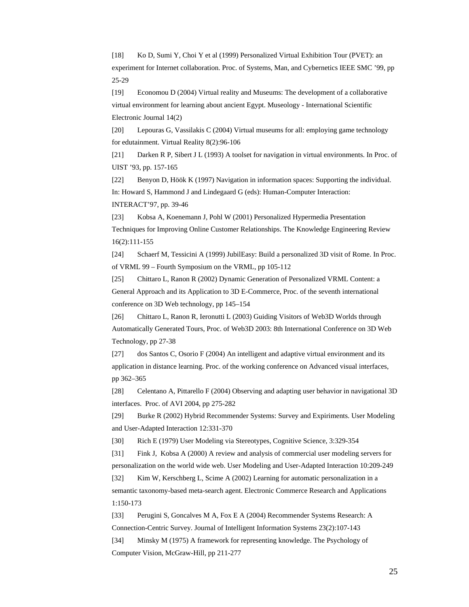[18] Ko D, Sumi Y, Choi Y et al (1999) Personalized Virtual Exhibition Tour (PVET): an experiment for Internet collaboration. Proc. of Systems, Man, and Cybernetics IEEE SMC '99, pp 25-29

[19] Economou D (2004) Virtual reality and Museums: The development of a collaborative virtual environment for learning about ancient Egypt. Museology - International Scientific Electronic Journal 14(2)

[20] Lepouras G, Vassilakis C (2004) Virtual museums for all: employing game technology for edutainment. Virtual Reality 8(2):96-106

[21] Darken R P, Sibert J L (1993) A toolset for navigation in virtual environments. In Proc. of UIST '93, pp. 157-165

[22] Benyon D, Höök K (1997) Navigation in information spaces: Supporting the individual. In: Howard S, Hammond J and Lindegaard G (eds): Human-Computer Interaction:

INTERACT'97, pp. 39-46

[23] Kobsa A, Koenemann J, Pohl W (2001) Personalized Hypermedia Presentation Techniques for Improving Online Customer Relationships. The Knowledge Engineering Review 16(2):111-155

[24] Schaerf M, Tessicini A (1999) JubilEasy: Build a personalized 3D visit of Rome. In Proc. of VRML 99 – Fourth Symposium on the VRML, pp 105-112

[25] Chittaro L, Ranon R (2002) Dynamic Generation of Personalized VRML Content: a General Approach and its Application to 3D E-Commerce, Proc. of the seventh international conference on 3D Web technology, pp 145–154

[26] Chittaro L, Ranon R, Ieronutti L (2003) Guiding Visitors of Web3D Worlds through Automatically Generated Tours, Proc. of Web3D 2003: 8th International Conference on 3D Web Technology, pp 27-38

[27] dos Santos C, Osorio F (2004) An intelligent and adaptive virtual environment and its application in distance learning. Proc. of the working conference on Advanced visual interfaces, pp 362–365

[28] Celentano A, Pittarello F (2004) Observing and adapting user behavior in navigational 3D interfaces. Proc. of AVI 2004, pp 275-282

[29] Burke R (2002) Hybrid Recommender Systems: Survey and Expiriments. User Modeling and User-Adapted Interaction 12:331-370

[30] Rich E (1979) User Modeling via Stereotypes, Cognitive Science, 3:329-354

[31] Fink J, Kobsa A (2000) A review and analysis of commercial user modeling servers for personalization on the world wide web. User Modeling and User-Adapted Interaction 10:209-249

[32] Kim W, Kerschberg L, Scime A (2002) Learning for automatic personalization in a semantic taxonomy-based meta-search agent. Electronic Commerce Research and Applications 1:150-173

[33] Perugini S, Goncalves M A, Fox E A (2004) Recommender Systems Research: A Connection-Centric Survey. Journal of Intelligent Information Systems 23(2):107-143 [34] Minsky M (1975) A framework for representing knowledge. The Psychology of

Computer Vision, McGraw-Hill, pp 211-277